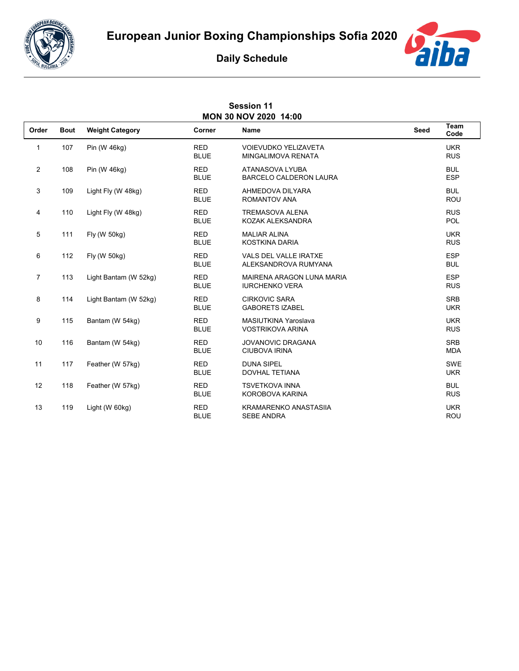





| <b>Session 11</b><br>MON 30 NOV 2020 14:00 |             |                        |                           |                                                           |             |                          |  |  |  |
|--------------------------------------------|-------------|------------------------|---------------------------|-----------------------------------------------------------|-------------|--------------------------|--|--|--|
| Order                                      | <b>Bout</b> | <b>Weight Category</b> | Corner                    | <b>Name</b>                                               | <b>Seed</b> | Team<br>Code             |  |  |  |
| 1                                          | 107         | Pin (W 46kg)           | <b>RED</b><br><b>BLUE</b> | <b>VOIEVUDKO YELIZAVETA</b><br>MINGALIMOVA RENATA         |             | <b>UKR</b><br><b>RUS</b> |  |  |  |
| $\overline{2}$                             | 108         | Pin (W 46kg)           | <b>RED</b><br><b>BLUE</b> | ATANASOVA LYUBA<br><b>BARCELO CALDERON LAURA</b>          |             | <b>BUL</b><br><b>ESP</b> |  |  |  |
| 3                                          | 109         | Light Fly (W 48kg)     | <b>RED</b><br><b>BLUE</b> | AHMEDOVA DILYARA<br><b>ROMANTOV ANA</b>                   |             | <b>BUL</b><br><b>ROU</b> |  |  |  |
| 4                                          | 110         | Light Fly (W 48kg)     | <b>RED</b><br><b>BLUE</b> | <b>TREMASOVA ALENA</b><br>KOZAK ALEKSANDRA                |             | <b>RUS</b><br><b>POL</b> |  |  |  |
| 5                                          | 111         | Fly (W 50kg)           | <b>RED</b><br><b>BLUE</b> | <b>MALIAR ALINA</b><br><b>KOSTKINA DARIA</b>              |             | <b>UKR</b><br><b>RUS</b> |  |  |  |
| 6                                          | 112         | Fly (W 50kg)           | <b>RED</b><br><b>BLUE</b> | VALS DEL VALLE IRATXE<br>ALEKSANDROVA RUMYANA             |             | <b>ESP</b><br><b>BUL</b> |  |  |  |
| $\overline{7}$                             | 113         | Light Bantam (W 52kg)  | <b>RED</b><br><b>BLUE</b> | <b>MAIRENA ARAGON LUNA MARIA</b><br><b>IURCHENKO VERA</b> |             | <b>ESP</b><br><b>RUS</b> |  |  |  |
| 8                                          | 114         | Light Bantam (W 52kg)  | <b>RED</b><br><b>BLUE</b> | <b>CIRKOVIC SARA</b><br><b>GABORETS IZABEL</b>            |             | <b>SRB</b><br><b>UKR</b> |  |  |  |
| 9                                          | 115         | Bantam (W 54kg)        | <b>RED</b><br><b>BLUE</b> | MASIUTKINA Yaroslava<br><b>VOSTRIKOVA ARINA</b>           |             | <b>UKR</b><br><b>RUS</b> |  |  |  |
| 10                                         | 116         | Bantam (W 54kg)        | <b>RED</b><br><b>BLUE</b> | <b>JOVANOVIC DRAGANA</b><br><b>CIUBOVA IRINA</b>          |             | <b>SRB</b><br><b>MDA</b> |  |  |  |
| 11                                         | 117         | Feather (W 57kg)       | <b>RED</b><br><b>BLUE</b> | <b>DUNA SIPEL</b><br><b>DOVHAL TETIANA</b>                |             | SWE<br><b>UKR</b>        |  |  |  |
| 12                                         | 118         | Feather (W 57kg)       | <b>RED</b><br><b>BLUE</b> | <b>TSVETKOVA INNA</b><br>KOROBOVA KARINA                  |             | <b>BUL</b><br><b>RUS</b> |  |  |  |
| 13                                         | 119         | Light (W 60kg)         | <b>RED</b><br><b>BLUE</b> | <b>KRAMARENKO ANASTASIIA</b><br><b>SEBE ANDRA</b>         |             | <b>UKR</b><br><b>ROU</b> |  |  |  |